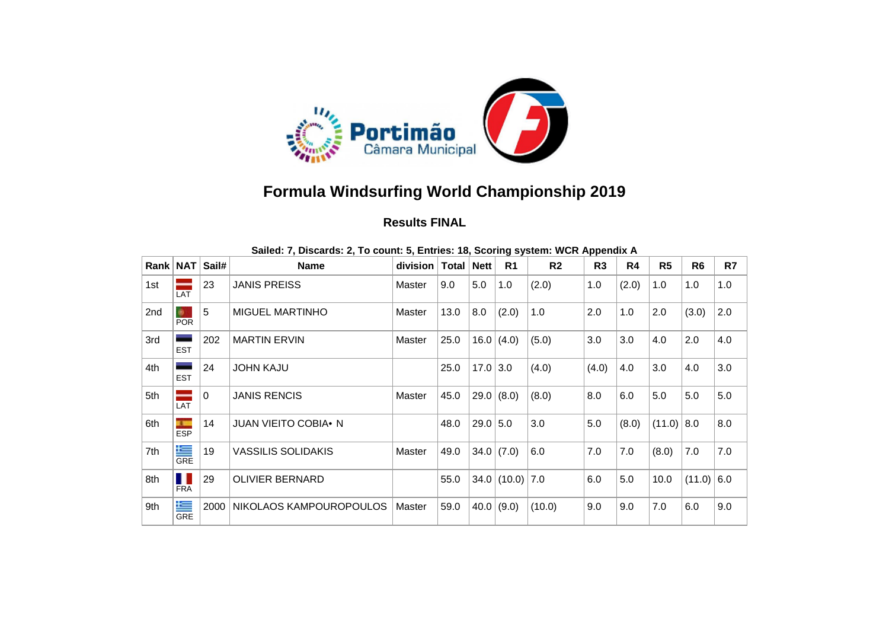

## **Formula Windsurfing World Championship 2019**

## **Results FINAL**

| Rank   NAT |                                 | Sail#        | <b>Name</b>                 | division   Total   Nett |      |            | R <sub>1</sub>    | R <sub>2</sub> | гг<br>R <sub>3</sub> | R4    | R <sub>5</sub> | R <sub>6</sub> | R7  |
|------------|---------------------------------|--------------|-----------------------------|-------------------------|------|------------|-------------------|----------------|----------------------|-------|----------------|----------------|-----|
| 1st        | LAT                             | 23           | <b>JANIS PREISS</b>         | Master                  | 9.0  | 5.0        | 1.0               | (2.0)          | 1.0                  | (2.0) | 1.0            | 1.0            | 1.0 |
| 2nd        | ÷.<br><b>POR</b>                | 5            | <b>MIGUEL MARTINHO</b>      | Master                  | 13.0 | 8.0        | (2.0)             | 1.0            | 2.0                  | 1.0   | 2.0            | (3.0)          | 2.0 |
| 3rd        | <b>EST</b>                      | 202          | <b>MARTIN ERVIN</b>         | Master                  | 25.0 |            | 16.0 (4.0)        | (5.0)          | 3.0                  | 3.0   | 4.0            | 2.0            | 4.0 |
| 4th        | <b>EST</b>                      | 24           | <b>JOHN KAJU</b>            |                         | 25.0 | 17.0   3.0 |                   | (4.0)          | (4.0)                | 4.0   | 3.0            | 4.0            | 3.0 |
| 5th        | LAT                             | $\mathbf{0}$ | <b>JANIS RENCIS</b>         | Master                  | 45.0 |            | 29.0   (8.0)      | (8.0)          | 8.0                  | 6.0   | 5.0            | 5.0            | 5.0 |
| 6th        | <b>TELEVISION</b><br><b>ESP</b> | 14           | <b>JUAN VIEITO COBIA• N</b> |                         | 48.0 | 29.0 5.0   |                   | 3.0            | 5.0                  | (8.0) | $(11.0)$ 8.0   |                | 8.0 |
| 7th        | 隼<br><b>GRE</b>                 | 19           | <b>VASSILIS SOLIDAKIS</b>   | Master                  | 49.0 |            | $34.0$ (7.0)      | 6.0            | 7.0                  | 7.0   | (8.0)          | 7.0            | 7.0 |
| 8th        | ш<br><b>FRA</b>                 | 29           | <b>OLIVIER BERNARD</b>      |                         | 55.0 |            | $34.0$ (10.0) 7.0 |                | 6.0                  | 5.0   | 10.0           | $(11.0)$ 6.0   |     |
| 9th        | ≤<br><b>GRE</b>                 | 2000         | NIKOLAOS KAMPOUROPOULOS     | Master                  | 59.0 |            | 40.0 (9.0)        | (10.0)         | 9.0                  | 9.0   | 7.0            | 6.0            | 9.0 |

| Sailed: 7, Discards: 2, To count: 5, Entries: 18, Scoring system: WCR Appendix A |  |  |  |
|----------------------------------------------------------------------------------|--|--|--|
|                                                                                  |  |  |  |